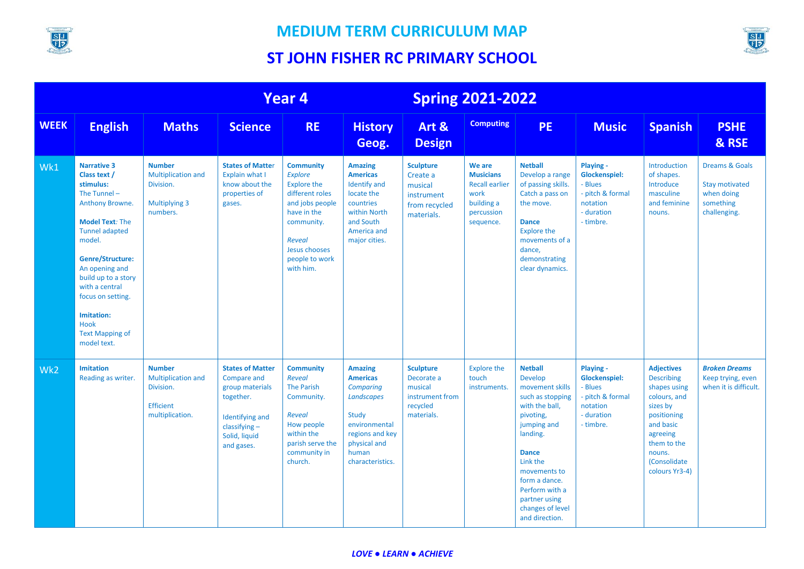

Wk1 **Narrative 3**

**Class text / stimulus:** The Tunnel –

model.

with a central

**Imitation:** Hook

model text.

Wk2 **Imitation**

#### **MEDIUM TERM CURRICULUM MAP**

# **ST JOHN FISHER RC PRIMARY SCHOOL**



and direction.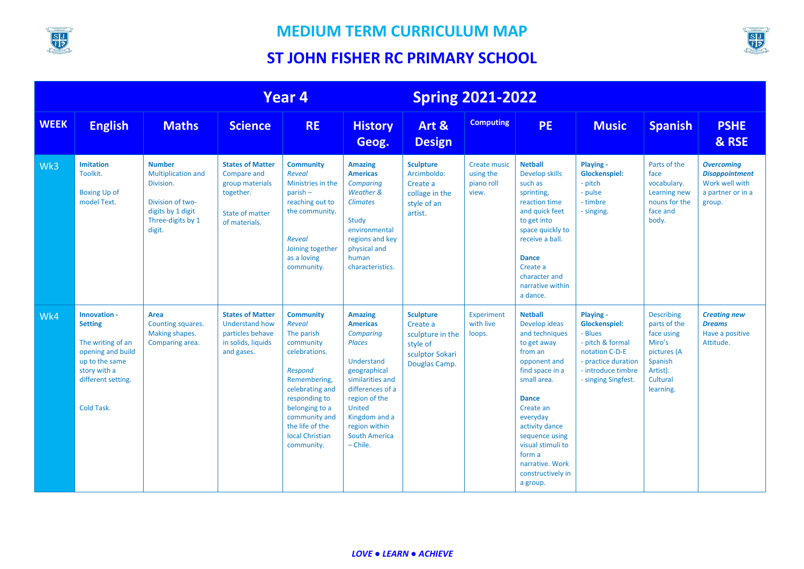



|             | Year <sub>4</sub>                                                                                                                              |                                                                                                                                 |                                                                                                                   | <b>Spring 2021-2022</b>                                                                                                                                                                                                      |                                                                                                                                                                                                                                               |                                                                                                  |                                                         |                                                                                                                                                                                                                                                                                               |                                                                                                                                                        |                                                                                                                          |                                                                                             |
|-------------|------------------------------------------------------------------------------------------------------------------------------------------------|---------------------------------------------------------------------------------------------------------------------------------|-------------------------------------------------------------------------------------------------------------------|------------------------------------------------------------------------------------------------------------------------------------------------------------------------------------------------------------------------------|-----------------------------------------------------------------------------------------------------------------------------------------------------------------------------------------------------------------------------------------------|--------------------------------------------------------------------------------------------------|---------------------------------------------------------|-----------------------------------------------------------------------------------------------------------------------------------------------------------------------------------------------------------------------------------------------------------------------------------------------|--------------------------------------------------------------------------------------------------------------------------------------------------------|--------------------------------------------------------------------------------------------------------------------------|---------------------------------------------------------------------------------------------|
| <b>WEEK</b> | <b>English</b>                                                                                                                                 | <b>Maths</b>                                                                                                                    | <b>Science</b>                                                                                                    | <b>RE</b>                                                                                                                                                                                                                    | <b>History</b><br>Geog.                                                                                                                                                                                                                       | Art &<br><b>Design</b>                                                                           | <b>Computing</b>                                        | <b>PE</b>                                                                                                                                                                                                                                                                                     | <b>Music</b>                                                                                                                                           | <b>Spanish</b>                                                                                                           | <b>PSHE</b><br>& RSE                                                                        |
| Wk3         | <b>Imitation</b><br>Toolkit.<br><b>Boxing Up of</b><br>model Text.                                                                             | <b>Number</b><br><b>Multiplication and</b><br>Division.<br>Division of two-<br>digits by 1 digit<br>Three-digits by 1<br>digit. | <b>States of Matter</b><br>Compare and<br>group materials<br>together.<br><b>State of matter</b><br>of materials. | <b>Community</b><br>Reveal<br>Ministries in the<br>$parish -$<br>reaching out to<br>the community.<br>Reveal<br>Joining together<br>as a loving<br>community.                                                                | <b>Amazing</b><br><b>Americas</b><br>Comparing<br>Weather &<br><b>Climates</b><br>Study<br>environmental<br>regions and key<br>physical and<br>human<br>characteristics.                                                                      | <b>Sculpture</b><br>Arcimboldo:<br>Create a<br>collage in the<br>style of an<br>artist.          | <b>Create music</b><br>using the<br>piano roll<br>view. | <b>Netball</b><br>Develop skills<br>such as<br>sprinting,<br>reaction time<br>and quick feet<br>to get into<br>space quickly to<br>receive a ball.<br><b>Dance</b><br>Create a<br>character and<br>narrative within<br>a dance.                                                               | Playing -<br><b>Glockenspiel:</b><br>- pitch<br>- pulse<br>- timbre<br>- singing.                                                                      | Parts of the<br>face<br>vocabulary.<br>Learning new<br>nouns for the<br>face and<br>body.                                | <b>Overcoming</b><br><b>Disappointment</b><br>Work well with<br>a partner or in a<br>group. |
| Wk4         | Innovation -<br><b>Setting</b><br>The writing of an<br>opening and build<br>up to the same<br>story with a<br>different setting.<br>Cold Task. | Area<br>Counting squares.<br>Making shapes.<br>Comparing area.                                                                  | <b>States of Matter</b><br><b>Understand how</b><br>particles behave<br>in solids, liquids<br>and gases.          | <b>Community</b><br>Reveal<br>The parish<br>community<br>celebrations.<br>Respond<br>Remembering,<br>celebrating and<br>responding to<br>belonging to a<br>community and<br>the life of the<br>local Christian<br>community. | <b>Amazing</b><br><b>Americas</b><br>Comparing<br><b>Places</b><br>Understand<br>geographical<br>similarities and<br>differences of a<br>region of the<br><b>United</b><br>Kingdom and a<br>region within<br><b>South America</b><br>- Chile. | <b>Sculpture</b><br>Create a<br>sculpture in the<br>style of<br>sculptor Sokari<br>Douglas Camp. | Experiment<br>with live<br>loops.                       | <b>Netball</b><br>Develop ideas<br>and techniques<br>to get away<br>from an<br>opponent and<br>find space in a<br>small area.<br><b>Dance</b><br>Create an<br>everyday<br>activity dance<br>sequence using<br>visual stimuli to<br>form a<br>narrative. Work<br>constructively in<br>a group. | Playing -<br><b>Glockenspiel:</b><br>- Blues<br>- pitch & formal<br>notation C-D-E<br>- practice duration<br>- introduce timbre<br>- singing Singfest. | <b>Describing</b><br>parts of the<br>face using<br>Miro's<br>pictures (A<br>Spanish<br>Artist).<br>Cultural<br>learning. | <b>Creating new</b><br><b>Dreams</b><br>Have a positive<br>Attitude.                        |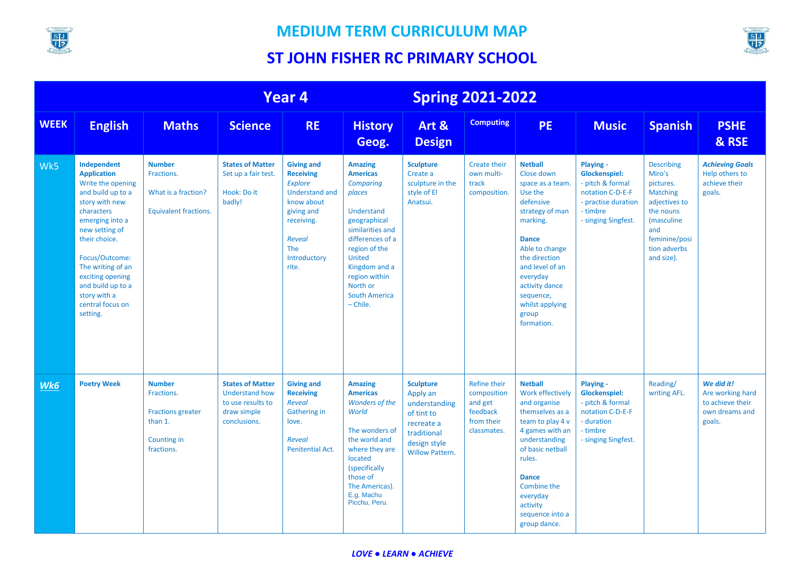

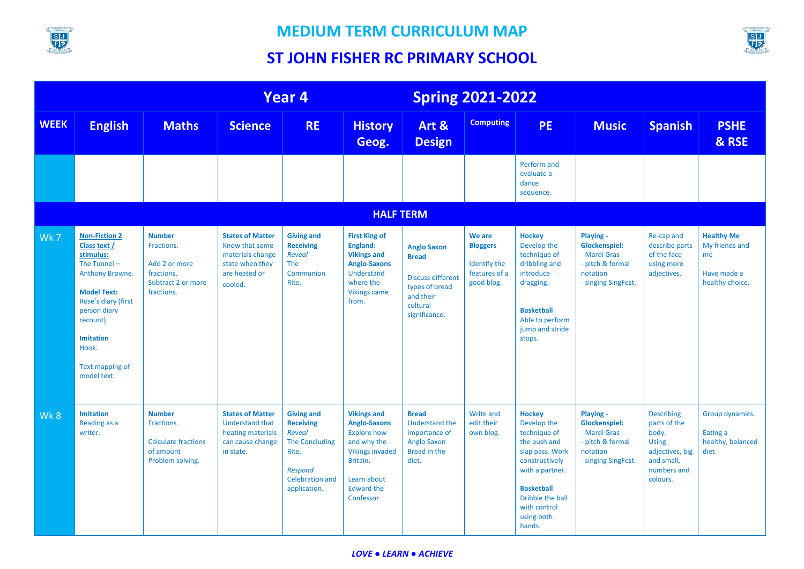



|             |                                                                                                                                                                                                                                 |                                                                                                |                                                                                                              | Year 4                                                                                                                                               |                                                                                                                                                                        | <b>Spring 2021-2022</b>                                                                                                    |                                                                          |                                                                                                                                                                                                       |                                                                                                          |                                                                                                                        |                                                                             |
|-------------|---------------------------------------------------------------------------------------------------------------------------------------------------------------------------------------------------------------------------------|------------------------------------------------------------------------------------------------|--------------------------------------------------------------------------------------------------------------|------------------------------------------------------------------------------------------------------------------------------------------------------|------------------------------------------------------------------------------------------------------------------------------------------------------------------------|----------------------------------------------------------------------------------------------------------------------------|--------------------------------------------------------------------------|-------------------------------------------------------------------------------------------------------------------------------------------------------------------------------------------------------|----------------------------------------------------------------------------------------------------------|------------------------------------------------------------------------------------------------------------------------|-----------------------------------------------------------------------------|
| <b>WEEK</b> | <b>English</b>                                                                                                                                                                                                                  | <b>Maths</b>                                                                                   | <b>Science</b>                                                                                               | <b>RE</b>                                                                                                                                            | <b>History</b><br>Geog.                                                                                                                                                | Art &<br><b>Design</b>                                                                                                     | <b>Computing</b>                                                         | <b>PE</b>                                                                                                                                                                                             | <b>Music</b>                                                                                             | <b>Spanish</b>                                                                                                         | <b>PSHE</b><br>& RSE                                                        |
|             |                                                                                                                                                                                                                                 |                                                                                                |                                                                                                              |                                                                                                                                                      |                                                                                                                                                                        |                                                                                                                            |                                                                          | Perform and<br>evaluate a<br>dance<br>sequence.                                                                                                                                                       |                                                                                                          |                                                                                                                        |                                                                             |
|             | <b>HALF TERM</b>                                                                                                                                                                                                                |                                                                                                |                                                                                                              |                                                                                                                                                      |                                                                                                                                                                        |                                                                                                                            |                                                                          |                                                                                                                                                                                                       |                                                                                                          |                                                                                                                        |                                                                             |
| Wk7         | <b>Non-Fiction 2</b><br>Class text /<br>stimulus:<br>The Tunnel $-$<br>Anthony Browne.<br><b>Model Text:</b><br>Rose's diary (first<br>person diary<br>recount).<br><b>Imitation</b><br>Hook.<br>Text mapping of<br>model text. | <b>Number</b><br>Fractions.<br>Add 2 or more<br>fractions.<br>Subtract 2 or more<br>fractions. | <b>States of Matter</b><br>Know that some<br>materials change<br>state when they<br>are heated or<br>cooled. | <b>Giving and</b><br><b>Receiving</b><br>Reveal<br>The<br>Communion<br>Rite.                                                                         | <b>First King of</b><br>England:<br><b>Vikings and</b><br><b>Anglo-Saxons</b><br>Understand<br>where the<br><b>Vikings came</b><br>from.                               | <b>Anglo Saxon</b><br><b>Bread</b><br><b>Discuss different</b><br>types of bread<br>and their<br>cultural<br>significance. | We are<br><b>Bloggers</b><br>Identify the<br>features of a<br>good blog. | <b>Hockey</b><br>Develop the<br>technique of<br>dribbling and<br>introduce<br>dragging.<br><b>Basketball</b><br>Able to perform<br>jump and stride<br>stops.                                          | <b>Playing -</b><br>Glockenspiel:<br>- Mardi Gras<br>- pitch & formal<br>notation<br>- singing SingFest. | Re-cap and<br>describe parts<br>of the face<br>using more<br>adjectives.                                               | <b>Healthy Me</b><br>My friends and<br>me<br>Have made a<br>healthy choice. |
| Wk8         | <b>Imitation</b><br>Reading as a<br>writer.                                                                                                                                                                                     | <b>Number</b><br>Fractions.<br><b>Calculate fractions</b><br>of amount<br>Problem solving.     | <b>States of Matter</b><br><b>Understand that</b><br>heating materials<br>can cause change<br>in state.      | <b>Giving and</b><br><b>Receiving</b><br><b>Reveal</b><br><b>The Concluding</b><br>Rite.<br><b>Respond</b><br><b>Celebration and</b><br>application. | <b>Vikings and</b><br><b>Anglo-Saxons</b><br><b>Explore how</b><br>and why the<br><b>Vikings invaded</b><br>Britain.<br>Learn about<br><b>Edward the</b><br>Confessor. | <b>Bread</b><br><b>Understand the</b><br>importance of<br><b>Anglo Saxon</b><br><b>Bread in the</b><br>diet.               | <b>Write and</b><br>edit their<br>own blog.                              | <b>Hockey</b><br>Develop the<br>technique of<br>the push and<br>slap pass. Work<br>constructively<br>with a partner.<br><b>Basketball</b><br>Dribble the ball<br>with control<br>using both<br>hands. | Playing -<br><b>Glockenspiel:</b><br>- Mardi Gras<br>- pitch & formal<br>notation<br>- singing SingFest. | <b>Describing</b><br>parts of the<br>body.<br><b>Using</b><br>adjectives, big<br>and small,<br>numbers and<br>colours. | Group dynamics.<br>Eating a<br>healthy, balanced<br>diet.                   |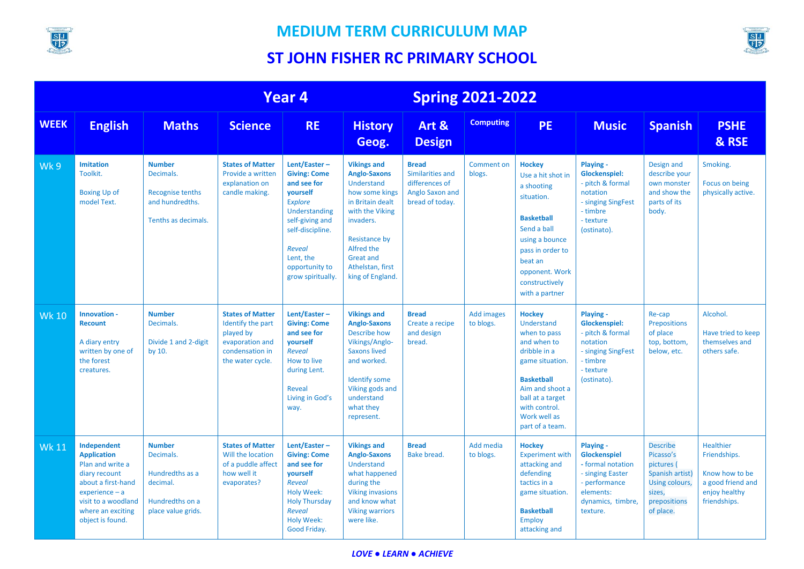



|              | <b>Year 4</b>                                                                                                                                                                    |                                                                                                    |                                                                                                                     |                                                                                                                                                                                                        |                                                                                                                                                                                                                                 |                                                                                          | <b>Spring 2021-2022</b>     |                                                                                                                                                                                                               |                                                                                                                                   |                                                                                                                        |                                                                                                          |  |
|--------------|----------------------------------------------------------------------------------------------------------------------------------------------------------------------------------|----------------------------------------------------------------------------------------------------|---------------------------------------------------------------------------------------------------------------------|--------------------------------------------------------------------------------------------------------------------------------------------------------------------------------------------------------|---------------------------------------------------------------------------------------------------------------------------------------------------------------------------------------------------------------------------------|------------------------------------------------------------------------------------------|-----------------------------|---------------------------------------------------------------------------------------------------------------------------------------------------------------------------------------------------------------|-----------------------------------------------------------------------------------------------------------------------------------|------------------------------------------------------------------------------------------------------------------------|----------------------------------------------------------------------------------------------------------|--|
| <b>WEEK</b>  | <b>English</b>                                                                                                                                                                   | <b>Maths</b>                                                                                       | <b>Science</b>                                                                                                      | <b>RE</b>                                                                                                                                                                                              | <b>History</b><br>Geog.                                                                                                                                                                                                         | Art &<br><b>Design</b>                                                                   | <b>Computing</b>            | <b>PE</b>                                                                                                                                                                                                     | <b>Music</b>                                                                                                                      | <b>Spanish</b>                                                                                                         | <b>PSHE</b><br>& RSE                                                                                     |  |
| Wk9          | <b>Imitation</b><br>Toolkit.<br><b>Boxing Up of</b><br>model Text.                                                                                                               | <b>Number</b><br>Decimals.<br><b>Recognise tenths</b><br>and hundredths.<br>Tenths as decimals.    | <b>States of Matter</b><br>Provide a written<br>explanation on<br>candle making.                                    | Lent/Easter-<br><b>Giving: Come</b><br>and see for<br>yourself<br><b>Explore</b><br>Understanding<br>self-giving and<br>self-discipline.<br>Reveal<br>Lent, the<br>opportunity to<br>grow spiritually. | <b>Vikings and</b><br><b>Anglo-Saxons</b><br>Understand<br>how some kings<br>in Britain dealt<br>with the Viking<br>invaders.<br><b>Resistance by</b><br>Alfred the<br><b>Great and</b><br>Athelstan, first<br>king of England. | <b>Bread</b><br>Similarities and<br>differences of<br>Anglo Saxon and<br>bread of today. | <b>Comment on</b><br>blogs. | <b>Hockey</b><br>Use a hit shot in<br>a shooting<br>situation.<br><b>Basketball</b><br>Send a ball<br>using a bounce<br>pass in order to<br>beat an<br>opponent. Work<br>constructively<br>with a partner     | Playing -<br><b>Glockenspiel:</b><br>- pitch & formal<br>notation<br>- singing SingFest<br>- timbre<br>- texture<br>(ostinato).   | Design and<br>describe your<br>own monster<br>and show the<br>parts of its<br>body.                                    | Smoking.<br>Focus on being<br>physically active.                                                         |  |
| <b>Wk 10</b> | Innovation -<br><b>Recount</b><br>A diary entry<br>written by one of<br>the forest<br>creatures.                                                                                 | <b>Number</b><br>Decimals.<br>Divide 1 and 2-digit<br>by 10.                                       | <b>States of Matter</b><br>Identify the part<br>played by<br>evaporation and<br>condensation in<br>the water cycle. | Lent/Easter $-$<br><b>Giving: Come</b><br>and see for<br>yourself<br>Reveal<br>How to live<br>during Lent.<br>Reveal<br>Living in God's<br>way.                                                        | <b>Vikings and</b><br><b>Anglo-Saxons</b><br><b>Describe how</b><br>Vikings/Anglo-<br><b>Saxons lived</b><br>and worked.<br><b>Identify some</b><br>Viking gods and<br>understand<br>what they<br>represent.                    | <b>Bread</b><br>Create a recipe<br>and design<br>bread.                                  | Add images<br>to blogs.     | <b>Hockey</b><br>Understand<br>when to pass<br>and when to<br>dribble in a<br>game situation.<br><b>Basketball</b><br>Aim and shoot a<br>ball at a target<br>with control.<br>Work well as<br>part of a team. | Playing -<br><b>Glockenspiel:</b><br>- pitch & formal<br>notation<br>- singing SingFest<br>- timbre<br>- texture<br>(ostinato).   | Re-cap<br><b>Prepositions</b><br>of place<br>top, bottom,<br>below, etc.                                               | Alcohol.<br>Have tried to keep<br>themselves and<br>others safe.                                         |  |
| <b>Wk 11</b> | Independent<br><b>Application</b><br>Plan and write a<br>diary recount<br>about a first-hand<br>$experience - a$<br>visit to a woodland<br>where an exciting<br>object is found. | <b>Number</b><br>Decimals.<br>Hundredths as a<br>decimal.<br>Hundredths on a<br>place value grids. | <b>States of Matter</b><br>Will the location<br>of a puddle affect<br>how well it<br>evaporates?                    | Lent/Easter-<br><b>Giving: Come</b><br>and see for<br>yourself<br><b>Reveal</b><br>Holy Week:<br><b>Holy Thursday</b><br>Reveal<br><b>Holy Week:</b><br>Good Friday.                                   | <b>Vikings and</b><br><b>Anglo-Saxons</b><br>Understand<br>what happened<br>during the<br><b>Viking invasions</b><br>and know what<br><b>Viking warriors</b><br>were like.                                                      | <b>Bread</b><br>Bake bread.                                                              | Add media<br>to blogs.      | <b>Hockey</b><br><b>Experiment with</b><br>attacking and<br>defending<br>tactics in a<br>game situation.<br><b>Basketball</b><br><b>Employ</b><br>attacking and                                               | Playing -<br>Glockenspiel<br>- formal notation<br>- singing Easter<br>- performance<br>elements:<br>dynamics, timbre,<br>texture. | <b>Describe</b><br>Picasso's<br>pictures (<br>Spanish artist)<br>Using colours,<br>sizes,<br>prepositions<br>of place. | <b>Healthier</b><br>Friendships.<br>Know how to be<br>a good friend and<br>enjoy healthy<br>friendships. |  |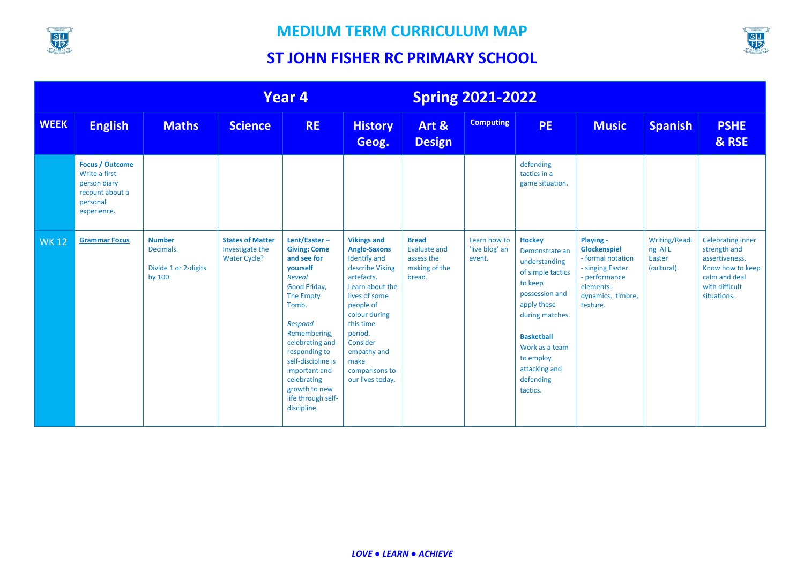



|             | Year 4                                                                                                |                                                               |                                                                   | <b>Spring 2021-2022</b>                                                                                                                                                                                                                                                                          |                                                                                                                                                                                                                                                                      |                                                                              |                                          |                                                                                                                                                                                                                                    |                                                                                                                                   |                                                         |                                                                                                                                  |
|-------------|-------------------------------------------------------------------------------------------------------|---------------------------------------------------------------|-------------------------------------------------------------------|--------------------------------------------------------------------------------------------------------------------------------------------------------------------------------------------------------------------------------------------------------------------------------------------------|----------------------------------------------------------------------------------------------------------------------------------------------------------------------------------------------------------------------------------------------------------------------|------------------------------------------------------------------------------|------------------------------------------|------------------------------------------------------------------------------------------------------------------------------------------------------------------------------------------------------------------------------------|-----------------------------------------------------------------------------------------------------------------------------------|---------------------------------------------------------|----------------------------------------------------------------------------------------------------------------------------------|
| <b>WEEK</b> | <b>English</b>                                                                                        | <b>Maths</b>                                                  | <b>Science</b>                                                    | <b>RE</b>                                                                                                                                                                                                                                                                                        | <b>History</b><br>Geog.                                                                                                                                                                                                                                              | Art &<br><b>Design</b>                                                       | <b>Computing</b>                         | <b>PE</b>                                                                                                                                                                                                                          | <b>Music</b>                                                                                                                      | <b>Spanish</b>                                          | <b>PSHE</b><br>& RSE                                                                                                             |
|             | <b>Focus / Outcome</b><br>Write a first<br>person diary<br>recount about a<br>personal<br>experience. |                                                               |                                                                   |                                                                                                                                                                                                                                                                                                  |                                                                                                                                                                                                                                                                      |                                                                              |                                          | defending<br>tactics in a<br>game situation.                                                                                                                                                                                       |                                                                                                                                   |                                                         |                                                                                                                                  |
| <b>WK12</b> | <b>Grammar Focus</b>                                                                                  | <b>Number</b><br>Decimals.<br>Divide 1 or 2-digits<br>by 100. | <b>States of Matter</b><br>Investigate the<br><b>Water Cycle?</b> | Lent/Easter-<br><b>Giving: Come</b><br>and see for<br>vourself<br><b>Reveal</b><br>Good Friday,<br>The Empty<br>Tomb.<br>Respond<br>Remembering,<br>celebrating and<br>responding to<br>self-discipline is<br>important and<br>celebrating<br>growth to new<br>life through self-<br>discipline. | <b>Vikings and</b><br><b>Anglo-Saxons</b><br><b>Identify and</b><br>describe Viking<br>artefacts.<br>Learn about the<br>lives of some<br>people of<br>colour during<br>this time<br>period.<br>Consider<br>empathy and<br>make<br>comparisons to<br>our lives today. | <b>Bread</b><br><b>Evaluate and</b><br>assess the<br>making of the<br>bread. | Learn how to<br>'live blog' an<br>event. | <b>Hockey</b><br>Demonstrate an<br>understanding<br>of simple tactics<br>to keep<br>possession and<br>apply these<br>during matches.<br><b>Basketball</b><br>Work as a team<br>to employ<br>attacking and<br>defending<br>tactics. | Playing -<br>Glockenspiel<br>- formal notation<br>- singing Easter<br>- performance<br>elements:<br>dynamics, timbre,<br>texture. | <b>Writing/Readi</b><br>ng AFL<br>Easter<br>(cultural). | <b>Celebrating inner</b><br>strength and<br>assertiveness.<br>Know how to keep<br>calm and deal<br>with difficult<br>situations. |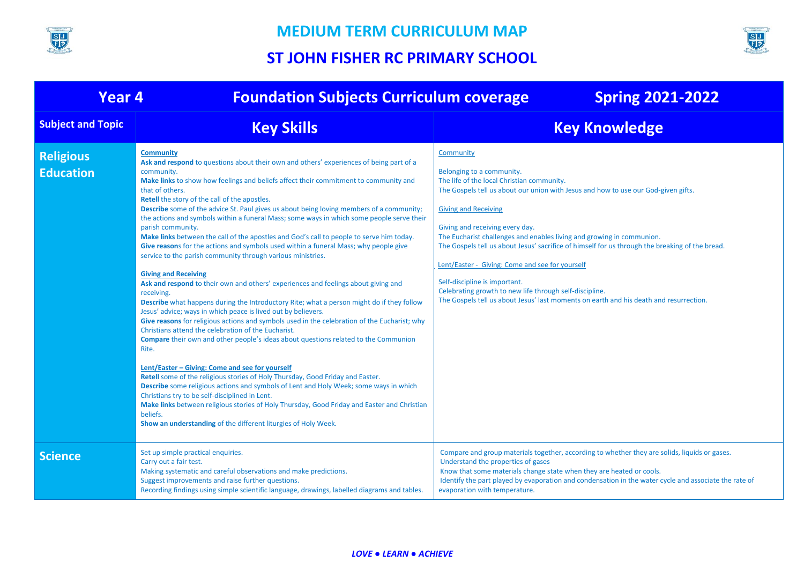



| <b>Year 4</b>                        | <b>Foundation Subjects Curriculum coverage</b>                                                                                                                                                                                                                                                                                                                                                                                                                                                                                                                                                                                                                                                                                                                                                                                                                                                                                                                                                                                                                                                                                                                                                                                                                                                                                                                                                                                                                                                                                                                                                                                                                                                                                                                                            | <b>Spring 2021-2022</b>                                                                                                                                                                                                                                                                                                                                                                                                                                                                                                                                                                                                                                           |
|--------------------------------------|-------------------------------------------------------------------------------------------------------------------------------------------------------------------------------------------------------------------------------------------------------------------------------------------------------------------------------------------------------------------------------------------------------------------------------------------------------------------------------------------------------------------------------------------------------------------------------------------------------------------------------------------------------------------------------------------------------------------------------------------------------------------------------------------------------------------------------------------------------------------------------------------------------------------------------------------------------------------------------------------------------------------------------------------------------------------------------------------------------------------------------------------------------------------------------------------------------------------------------------------------------------------------------------------------------------------------------------------------------------------------------------------------------------------------------------------------------------------------------------------------------------------------------------------------------------------------------------------------------------------------------------------------------------------------------------------------------------------------------------------------------------------------------------------|-------------------------------------------------------------------------------------------------------------------------------------------------------------------------------------------------------------------------------------------------------------------------------------------------------------------------------------------------------------------------------------------------------------------------------------------------------------------------------------------------------------------------------------------------------------------------------------------------------------------------------------------------------------------|
| <b>Subject and Topic</b>             | <b>Key Skills</b>                                                                                                                                                                                                                                                                                                                                                                                                                                                                                                                                                                                                                                                                                                                                                                                                                                                                                                                                                                                                                                                                                                                                                                                                                                                                                                                                                                                                                                                                                                                                                                                                                                                                                                                                                                         | <b>Key Knowledge</b>                                                                                                                                                                                                                                                                                                                                                                                                                                                                                                                                                                                                                                              |
| <b>Religious</b><br><b>Education</b> | <b>Community</b><br>Ask and respond to questions about their own and others' experiences of being part of a<br>community.<br>Make links to show how feelings and beliefs affect their commitment to community and<br>that of others.<br>Retell the story of the call of the apostles.<br><b>Describe</b> some of the advice St. Paul gives us about being loving members of a community;<br>the actions and symbols within a funeral Mass; some ways in which some people serve their<br>parish community.<br>Make links between the call of the apostles and God's call to people to serve him today.<br>Give reasons for the actions and symbols used within a funeral Mass; why people give<br>service to the parish community through various ministries.<br><b>Giving and Receiving</b><br>Ask and respond to their own and others' experiences and feelings about giving and<br>receiving.<br>Describe what happens during the Introductory Rite; what a person might do if they follow<br>Jesus' advice; ways in which peace is lived out by believers.<br>Give reasons for religious actions and symbols used in the celebration of the Eucharist; why<br>Christians attend the celebration of the Eucharist.<br><b>Compare</b> their own and other people's ideas about questions related to the Communion<br>Rite.<br>Lent/Easter - Giving: Come and see for yourself<br>Retell some of the religious stories of Holy Thursday, Good Friday and Easter.<br>Describe some religious actions and symbols of Lent and Holy Week; some ways in which<br>Christians try to be self-disciplined in Lent.<br>Make links between religious stories of Holy Thursday, Good Friday and Easter and Christian<br>beliefs.<br>Show an understanding of the different liturgies of Holy Week. | Community<br>Belonging to a community.<br>The life of the local Christian community.<br>The Gospels tell us about our union with Jesus and how to use our God-given gifts.<br><b>Giving and Receiving</b><br>Giving and receiving every day.<br>The Eucharist challenges and enables living and growing in communion.<br>The Gospels tell us about Jesus' sacrifice of himself for us through the breaking of the bread.<br>Lent/Easter - Giving: Come and see for yourself<br>Self-discipline is important.<br>Celebrating growth to new life through self-discipline.<br>The Gospels tell us about Jesus' last moments on earth and his death and resurrection. |
| <b>Science</b>                       | Set up simple practical enquiries.<br>Carry out a fair test.<br>Making systematic and careful observations and make predictions.<br>Suggest improvements and raise further questions.<br>Recording findings using simple scientific language, drawings, labelled diagrams and tables.                                                                                                                                                                                                                                                                                                                                                                                                                                                                                                                                                                                                                                                                                                                                                                                                                                                                                                                                                                                                                                                                                                                                                                                                                                                                                                                                                                                                                                                                                                     | Compare and group materials together, according to whether they are solids, liquids or gases.<br>Understand the properties of gases<br>Know that some materials change state when they are heated or cools.<br>Identify the part played by evaporation and condensation in the water cycle and associate the rate of<br>evaporation with temperature.                                                                                                                                                                                                                                                                                                             |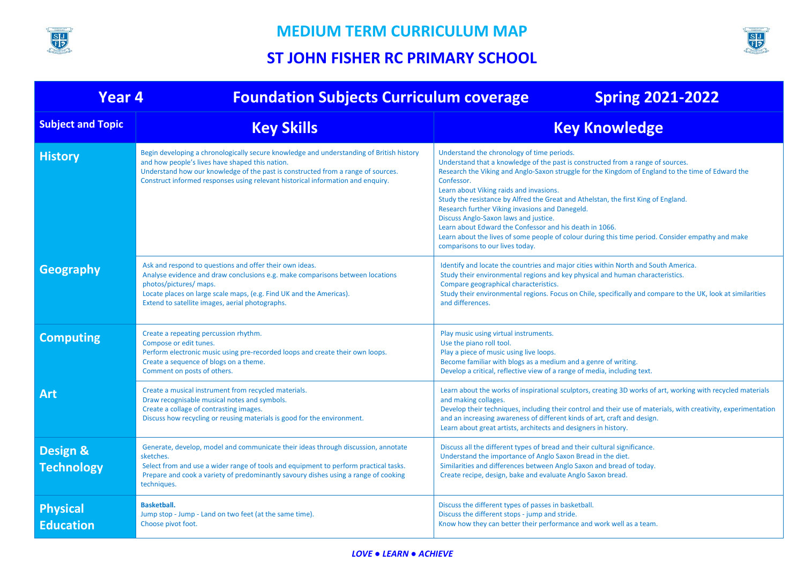



| <b>Year 4</b>                            | <b>Foundation Subjects Curriculum coverage</b>                                                                                                                                                                                                                                                                     | <b>Spring 2021-2022</b>                                                                                                                                                                                                                                                                                                                                                                                                                                                                                                                                                                                                                                                          |
|------------------------------------------|--------------------------------------------------------------------------------------------------------------------------------------------------------------------------------------------------------------------------------------------------------------------------------------------------------------------|----------------------------------------------------------------------------------------------------------------------------------------------------------------------------------------------------------------------------------------------------------------------------------------------------------------------------------------------------------------------------------------------------------------------------------------------------------------------------------------------------------------------------------------------------------------------------------------------------------------------------------------------------------------------------------|
| <b>Subject and Topic</b>                 | <b>Key Skills</b>                                                                                                                                                                                                                                                                                                  | <b>Key Knowledge</b>                                                                                                                                                                                                                                                                                                                                                                                                                                                                                                                                                                                                                                                             |
| <b>History</b>                           | Begin developing a chronologically secure knowledge and understanding of British history<br>and how people's lives have shaped this nation.<br>Understand how our knowledge of the past is constructed from a range of sources.<br>Construct informed responses using relevant historical information and enquiry. | Understand the chronology of time periods.<br>Understand that a knowledge of the past is constructed from a range of sources.<br>Research the Viking and Anglo-Saxon struggle for the Kingdom of England to the time of Edward the<br>Confessor.<br>Learn about Viking raids and invasions.<br>Study the resistance by Alfred the Great and Athelstan, the first King of England.<br>Research further Viking invasions and Danegeld.<br>Discuss Anglo-Saxon laws and justice.<br>Learn about Edward the Confessor and his death in 1066.<br>Learn about the lives of some people of colour during this time period. Consider empathy and make<br>comparisons to our lives today. |
| Geography                                | Ask and respond to questions and offer their own ideas.<br>Analyse evidence and draw conclusions e.g. make comparisons between locations<br>photos/pictures/ maps.<br>Locate places on large scale maps, (e.g. Find UK and the Americas).<br>Extend to satellite images, aerial photographs.                       | Identify and locate the countries and major cities within North and South America.<br>Study their environmental regions and key physical and human characteristics.<br>Compare geographical characteristics.<br>Study their environmental regions. Focus on Chile, specifically and compare to the UK, look at similarities<br>and differences.                                                                                                                                                                                                                                                                                                                                  |
| <b>Computing</b>                         | Create a repeating percussion rhythm.<br>Compose or edit tunes.<br>Perform electronic music using pre-recorded loops and create their own loops.<br>Create a sequence of blogs on a theme.<br>Comment on posts of others.                                                                                          | Play music using virtual instruments.<br>Use the piano roll tool.<br>Play a piece of music using live loops.<br>Become familiar with blogs as a medium and a genre of writing.<br>Develop a critical, reflective view of a range of media, including text.                                                                                                                                                                                                                                                                                                                                                                                                                       |
| <b>Art</b>                               | Create a musical instrument from recycled materials.<br>Draw recognisable musical notes and symbols.<br>Create a collage of contrasting images.<br>Discuss how recycling or reusing materials is good for the environment.                                                                                         | Learn about the works of inspirational sculptors, creating 3D works of art, working with recycled materials<br>and making collages.<br>Develop their techniques, including their control and their use of materials, with creativity, experimentation<br>and an increasing awareness of different kinds of art, craft and design.<br>Learn about great artists, architects and designers in history.                                                                                                                                                                                                                                                                             |
| <b>Design &amp;</b><br><b>Technology</b> | Generate, develop, model and communicate their ideas through discussion, annotate<br>sketches.<br>Select from and use a wider range of tools and equipment to perform practical tasks.<br>Prepare and cook a variety of predominantly savoury dishes using a range of cooking<br>techniques.                       | Discuss all the different types of bread and their cultural significance.<br>Understand the importance of Anglo Saxon Bread in the diet.<br>Similarities and differences between Anglo Saxon and bread of today.<br>Create recipe, design, bake and evaluate Anglo Saxon bread.                                                                                                                                                                                                                                                                                                                                                                                                  |
| <b>Physical</b><br><b>Education</b>      | <b>Basketball.</b><br>Jump stop - Jump - Land on two feet (at the same time).<br>Choose pivot foot.                                                                                                                                                                                                                | Discuss the different types of passes in basketball.<br>Discuss the different stops - jump and stride.<br>Know how they can better their performance and work well as a team.                                                                                                                                                                                                                                                                                                                                                                                                                                                                                                    |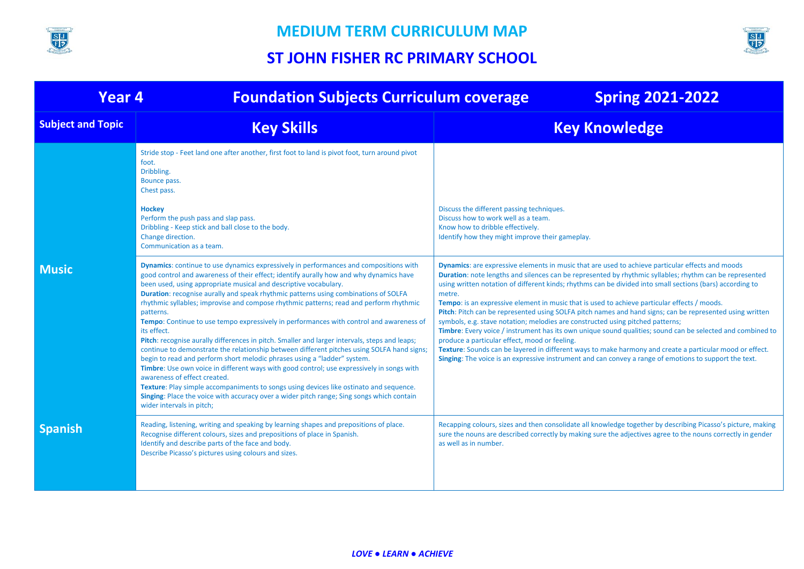



| <b>Year 4</b>            | <b>Foundation Subjects Curriculum coverage</b>                                                                                                                                                                                                                                                                                                                                                                                                                                                                                                                                                                                                                                                                                                                                                                                                                                                                                                                                                                                                                                                                                                                                                 | <b>Spring 2021-2022</b>                                                                                                                                                                                                                                                                                                                                                                                                                                                                                                                                                                                                                                                                                                                                                                                                                                                                                                                                                                                                      |
|--------------------------|------------------------------------------------------------------------------------------------------------------------------------------------------------------------------------------------------------------------------------------------------------------------------------------------------------------------------------------------------------------------------------------------------------------------------------------------------------------------------------------------------------------------------------------------------------------------------------------------------------------------------------------------------------------------------------------------------------------------------------------------------------------------------------------------------------------------------------------------------------------------------------------------------------------------------------------------------------------------------------------------------------------------------------------------------------------------------------------------------------------------------------------------------------------------------------------------|------------------------------------------------------------------------------------------------------------------------------------------------------------------------------------------------------------------------------------------------------------------------------------------------------------------------------------------------------------------------------------------------------------------------------------------------------------------------------------------------------------------------------------------------------------------------------------------------------------------------------------------------------------------------------------------------------------------------------------------------------------------------------------------------------------------------------------------------------------------------------------------------------------------------------------------------------------------------------------------------------------------------------|
| <b>Subject and Topic</b> | <b>Key Skills</b>                                                                                                                                                                                                                                                                                                                                                                                                                                                                                                                                                                                                                                                                                                                                                                                                                                                                                                                                                                                                                                                                                                                                                                              | <b>Key Knowledge</b>                                                                                                                                                                                                                                                                                                                                                                                                                                                                                                                                                                                                                                                                                                                                                                                                                                                                                                                                                                                                         |
|                          | Stride stop - Feet land one after another, first foot to land is pivot foot, turn around pivot<br>foot.<br>Dribbling.<br>Bounce pass.<br>Chest pass.<br><b>Hockey</b><br>Perform the push pass and slap pass.<br>Dribbling - Keep stick and ball close to the body.<br>Change direction.<br>Communication as a team.                                                                                                                                                                                                                                                                                                                                                                                                                                                                                                                                                                                                                                                                                                                                                                                                                                                                           | Discuss the different passing techniques.<br>Discuss how to work well as a team.<br>Know how to dribble effectively.<br>Identify how they might improve their gameplay.                                                                                                                                                                                                                                                                                                                                                                                                                                                                                                                                                                                                                                                                                                                                                                                                                                                      |
| <b>Music</b>             | <b>Dynamics:</b> continue to use dynamics expressively in performances and compositions with<br>good control and awareness of their effect; identify aurally how and why dynamics have<br>been used, using appropriate musical and descriptive vocabulary.<br>Duration: recognise aurally and speak rhythmic patterns using combinations of SOLFA<br>rhythmic syllables; improvise and compose rhythmic patterns; read and perform rhythmic<br>patterns.<br>Tempo: Continue to use tempo expressively in performances with control and awareness of<br>its effect.<br>Pitch: recognise aurally differences in pitch. Smaller and larger intervals, steps and leaps;<br>continue to demonstrate the relationship between different pitches using SOLFA hand signs;<br>begin to read and perform short melodic phrases using a "ladder" system.<br>Timbre: Use own voice in different ways with good control; use expressively in songs with<br>awareness of effect created.<br>Texture: Play simple accompaniments to songs using devices like ostinato and sequence.<br>Singing: Place the voice with accuracy over a wider pitch range; Sing songs which contain<br>wider intervals in pitch; | <b>Dynamics:</b> are expressive elements in music that are used to achieve particular effects and moods<br>Duration: note lengths and silences can be represented by rhythmic syllables; rhythm can be represented<br>using written notation of different kinds; rhythms can be divided into small sections (bars) according to<br>metre.<br>Tempo: is an expressive element in music that is used to achieve particular effects / moods.<br>Pitch: Pitch can be represented using SOLFA pitch names and hand signs; can be represented using written<br>symbols, e.g. stave notation; melodies are constructed using pitched patterns;<br>Timbre: Every voice / instrument has its own unique sound qualities; sound can be selected and combined to<br>produce a particular effect, mood or feeling.<br>Texture: Sounds can be layered in different ways to make harmony and create a particular mood or effect.<br>Singing: The voice is an expressive instrument and can convey a range of emotions to support the text. |
| <b>Spanish</b>           | Reading, listening, writing and speaking by learning shapes and prepositions of place.<br>Recognise different colours, sizes and prepositions of place in Spanish.<br>Identify and describe parts of the face and body.<br>Describe Picasso's pictures using colours and sizes.                                                                                                                                                                                                                                                                                                                                                                                                                                                                                                                                                                                                                                                                                                                                                                                                                                                                                                                | Recapping colours, sizes and then consolidate all knowledge together by describing Picasso's picture, making<br>sure the nouns are described correctly by making sure the adjectives agree to the nouns correctly in gender<br>as well as in number.                                                                                                                                                                                                                                                                                                                                                                                                                                                                                                                                                                                                                                                                                                                                                                         |